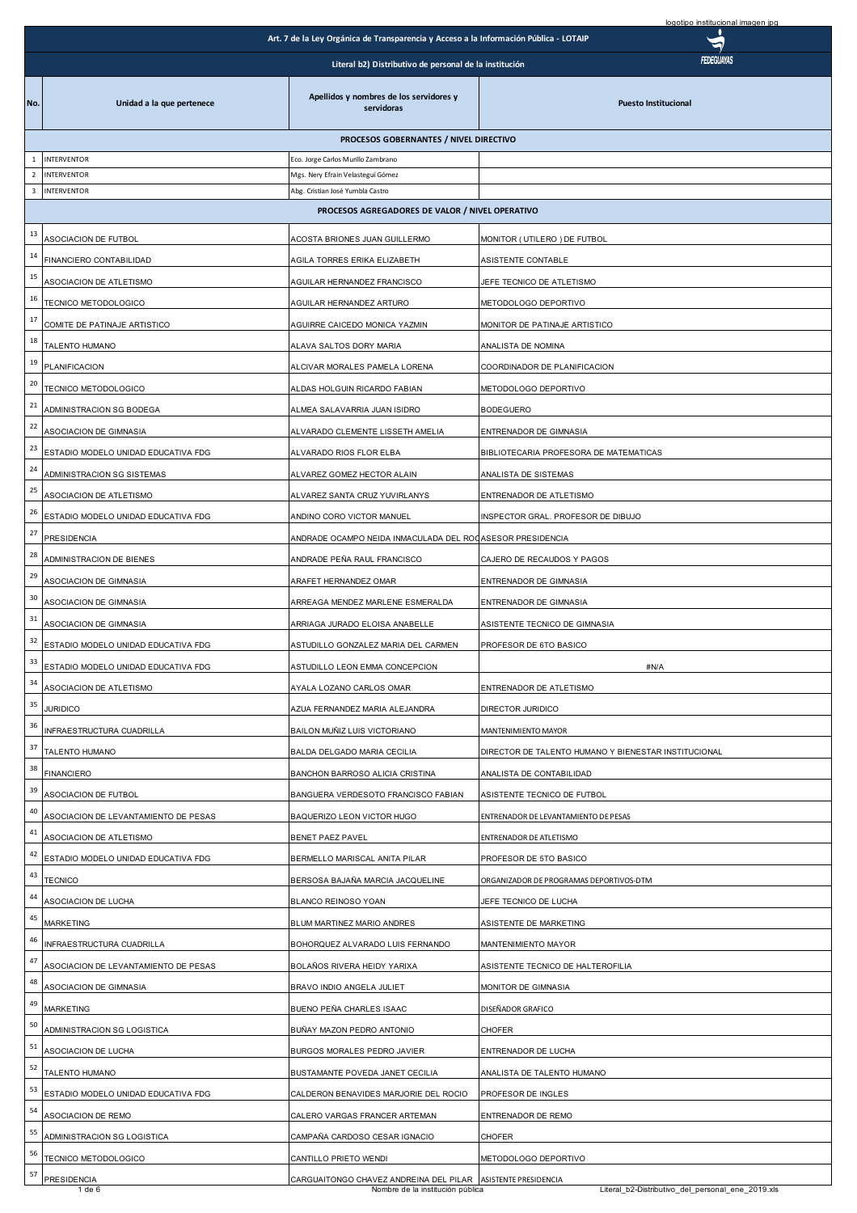|                         |                                      |                                                                                       | logotipo institucional imagen jpg                                                 |
|-------------------------|--------------------------------------|---------------------------------------------------------------------------------------|-----------------------------------------------------------------------------------|
|                         |                                      | Art. 7 de la Ley Orgánica de Transparencia y Acceso a la Información Pública - LOTAIP |                                                                                   |
|                         |                                      | Literal b2) Distributivo de personal de la institución                                | FEDEGUAYAS                                                                        |
| No.                     | Unidad a la que pertenece            | Apellidos y nombres de los servidores y<br>servidoras                                 | <b>Puesto Institucional</b>                                                       |
|                         |                                      | PROCESOS GOBERNANTES / NIVEL DIRECTIVO                                                |                                                                                   |
| $\mathbf{1}$            | <b>INTERVENTOR</b>                   | Eco. Jorge Carlos Murillo Zambrano                                                    |                                                                                   |
| $\overline{2}$          | <b>INTERVENTOR</b>                   | Mgs. Nery Efrain Velasteguí Gómez                                                     |                                                                                   |
| $\overline{\mathbf{3}}$ | <b>INTERVENTOR</b>                   | Abg. Cristian José Yumbla Castro                                                      |                                                                                   |
|                         |                                      | PROCESOS AGREGADORES DE VALOR / NIVEL OPERATIVO                                       |                                                                                   |
| 13                      | ASOCIACION DE FUTBOL                 | ACOSTA BRIONES JUAN GUILLERMO                                                         | MONITOR (UTILERO) DE FUTBOL                                                       |
| 14                      | FINANCIERO CONTABILIDAD              | AGILA TORRES ERIKA ELIZABETH                                                          | ASISTENTE CONTABLE                                                                |
| 15                      | ASOCIACION DE ATLETISMO              | AGUILAR HERNANDEZ FRANCISCO                                                           | JEFE TECNICO DE ATLETISMO                                                         |
| 16                      | TECNICO METODOLOGICO                 | AGUILAR HERNANDEZ ARTURO                                                              | METODOLOGO DEPORTIVO                                                              |
| 17                      | COMITE DE PATINAJE ARTISTICO         | AGUIRRE CAICEDO MONICA YAZMIN                                                         | MONITOR DE PATINAJE ARTISTICO                                                     |
| 18                      | TALENTO HUMANO                       | ALAVA SALTOS DORY MARIA                                                               | ANALISTA DE NOMINA                                                                |
| 19                      | PLANIFICACION                        | ALCIVAR MORALES PAMELA LORENA                                                         | COORDINADOR DE PLANIFICACION                                                      |
| 20                      | TECNICO METODOLOGICO                 | ALDAS HOLGUIN RICARDO FABIAN                                                          | METODOLOGO DEPORTIVO                                                              |
| 21                      |                                      |                                                                                       |                                                                                   |
| 22                      | ADMINISTRACION SG BODEGA             | ALMEA SALAVARRIA JUAN ISIDRO                                                          | <b>BODEGUERO</b>                                                                  |
| 23                      | ASOCIACION DE GIMNASIA               | ALVARADO CLEMENTE LISSETH AMELIA                                                      | ENTRENADOR DE GIMNASIA                                                            |
| 24                      | ESTADIO MODELO UNIDAD EDUCATIVA FDG  | ALVARADO RIOS FLOR ELBA                                                               | BIBLIOTECARIA PROFESORA DE MATEMATICAS                                            |
|                         | ADMINISTRACION SG SISTEMAS           | ALVAREZ GOMEZ HECTOR ALAIN                                                            | ANALISTA DE SISTEMAS                                                              |
| 25                      | ASOCIACION DE ATLETISMO              | ALVAREZ SANTA CRUZ YUVIRLANYS                                                         | ENTRENADOR DE ATLETISMO                                                           |
| 26                      | ESTADIO MODELO UNIDAD EDUCATIVA FDG  | ANDINO CORO VICTOR MANUEL                                                             | INSPECTOR GRAL. PROFESOR DE DIBUJO                                                |
| 27                      | PRESIDENCIA                          | ANDRADE OCAMPO NEIDA INMACULADA DEL ROCASESOR PRESIDENCIA                             |                                                                                   |
| 28                      | ADMINISTRACION DE BIENES             | ANDRADE PEÑA RAUL FRANCISCO                                                           | CAJERO DE RECAUDOS Y PAGOS                                                        |
| 29                      | ASOCIACION DE GIMNASIA               | ARAFET HERNANDEZ OMAR                                                                 | ENTRENADOR DE GIMNASIA                                                            |
| 30                      | ASOCIACION DE GIMNASIA               | ARREAGA MENDEZ MARLENE ESMERALDA                                                      | ENTRENADOR DE GIMNASIA                                                            |
| 31                      | ASOCIACION DE GIMNASIA               | ARRIAGA JURADO ELOISA ANABELLE                                                        | ASISTENTE TECNICO DE GIMNASIA                                                     |
| 32                      | ESTADIO MODELO UNIDAD EDUCATIVA FDG  | ASTUDILLO GONZALEZ MARIA DEL CARMEN                                                   | PROFESOR DE 6TO BASICO                                                            |
|                         | ESTADIO MODELO UNIDAD EDUCATIVA FDG  | ASTUDILLO LEON EMMA CONCEPCION                                                        | #N/A                                                                              |
| 34                      | ASOCIACION DE ATLETISMO              | AYALA LOZANO CARLOS OMAR                                                              | ENTRENADOR DE ATLETISMO                                                           |
| 35                      | <b>JURIDICO</b>                      | AZUA FERNANDEZ MARIA ALEJANDRA                                                        | DIRECTOR JURIDICO                                                                 |
| 36                      |                                      |                                                                                       |                                                                                   |
| 37                      | INFRAESTRUCTURA CUADRILLA            | BAILON MUÑIZ LUIS VICTORIANO                                                          | <b>MANTENIMIENTO MAYOR</b>                                                        |
| 38                      | TALENTO HUMANO                       | BALDA DELGADO MARIA CECILIA                                                           | DIRECTOR DE TALENTO HUMANO Y BIENESTAR INSTITUCIONAL                              |
| 39                      | <b>FINANCIERO</b>                    | <b>BANCHON BARROSO ALICIA CRISTINA</b>                                                | ANALISTA DE CONTABILIDAD                                                          |
|                         | ASOCIACION DE FUTBOL                 | BANGUERA VERDESOTO FRANCISCO FABIAN                                                   | ASISTENTE TECNICO DE FUTBOL                                                       |
| 40                      | ASOCIACION DE LEVANTAMIENTO DE PESAS | BAQUERIZO LEON VICTOR HUGO                                                            | ENTRENADOR DE LEVANTAMIENTO DE PESAS                                              |
| 41                      | ASOCIACION DE ATLETISMO              | BENET PAEZ PAVEL                                                                      | ENTRENADOR DE ATLETISMO                                                           |
| 42                      | ESTADIO MODELO UNIDAD EDUCATIVA FDG  | BERMELLO MARISCAL ANITA PILAR                                                         | PROFESOR DE 5TO BASICO                                                            |
| 43                      | <b>TECNICO</b>                       | BERSOSA BAJAÑA MARCIA JACQUELINE                                                      | ORGANIZADOR DE PROGRAMAS DEPORTIVOS-DTM                                           |
| 44                      | ASOCIACION DE LUCHA                  | BLANCO REINOSO YOAN                                                                   | JEFE TECNICO DE LUCHA                                                             |
| 45                      | <b>MARKETING</b>                     | BLUM MARTINEZ MARIO ANDRES                                                            | ASISTENTE DE MARKETING                                                            |
| 46                      | INFRAESTRUCTURA CUADRILLA            | BOHORQUEZ ALVARADO LUIS FERNANDO                                                      | MANTENIMIENTO MAYOR                                                               |
| 47                      | ASOCIACION DE LEVANTAMIENTO DE PESAS | BOLAÑOS RIVERA HEIDY YARIXA                                                           | ASISTENTE TECNICO DE HALTEROFILIA                                                 |
| 48                      | ASOCIACION DE GIMNASIA               | BRAVO INDIO ANGELA JULIET                                                             | MONITOR DE GIMNASIA                                                               |
| 49                      | <b>MARKETING</b>                     | BUENO PEÑA CHARLES ISAAC                                                              | DISEÑADOR GRAFICO                                                                 |
| 50                      | ADMINISTRACION SG LOGISTICA          | BUÑAY MAZON PEDRO ANTONIO                                                             | <b>CHOFER</b>                                                                     |
| 51                      | ASOCIACION DE LUCHA                  | BURGOS MORALES PEDRO JAVIER                                                           | ENTRENADOR DE LUCHA                                                               |
| 52                      |                                      |                                                                                       |                                                                                   |
| 53                      | TALENTO HUMANO                       | BUSTAMANTE POVEDA JANET CECILIA                                                       | ANALISTA DE TALENTO HUMANO                                                        |
| 54                      | ESTADIO MODELO UNIDAD EDUCATIVA FDG  | CALDERON BENAVIDES MARJORIE DEL ROCIO                                                 | PROFESOR DE INGLES                                                                |
|                         | ASOCIACION DE REMO                   | CALERO VARGAS FRANCER ARTEMAN                                                         | ENTRENADOR DE REMO                                                                |
| 55                      | ADMINISTRACION SG LOGISTICA          | CAMPAÑA CARDOSO CESAR IGNACIO                                                         | CHOFER                                                                            |
| 56                      | TECNICO METODOLOGICO                 | CANTILLO PRIETO WENDI                                                                 | METODOLOGO DEPORTIVO                                                              |
| 57                      | <b>PRESIDENCIA</b><br>$1$ de $6$     | CARGUAITONGO CHAVEZ ANDREINA DEL PILAR<br>Nombre de la institución pública            | <b>ASISTENTE PRESIDENCIA</b><br>Literal_b2-Distributivo_del_personal_ene_2019.xls |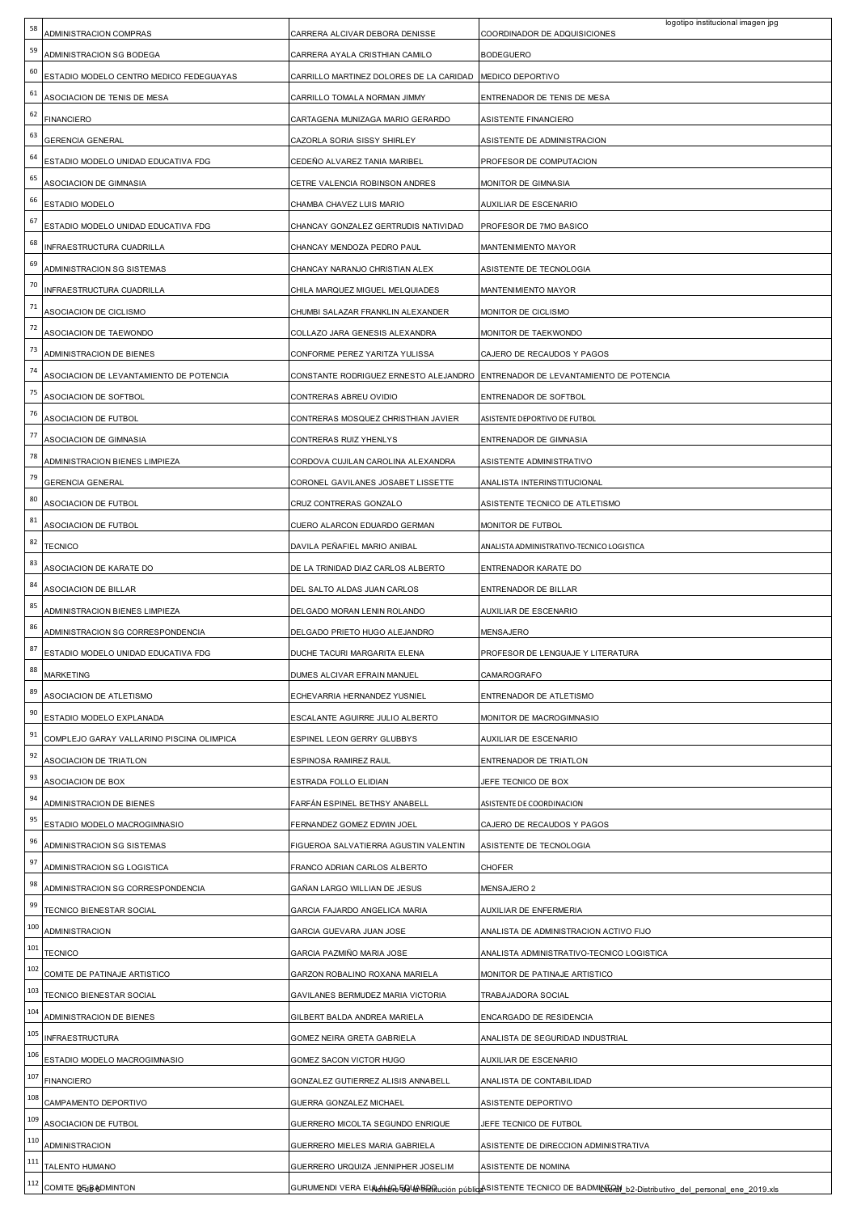| 58     | ADMINISTRACION COMPRAS                                              | CARRERA ALCIVAR DEBORA DENISSE          | logotipo institucional imagen jpg<br>COORDINADOR DE ADQUISICIONES |
|--------|---------------------------------------------------------------------|-----------------------------------------|-------------------------------------------------------------------|
| 59     | ADMINISTRACION SG BODEGA                                            | CARRERA AYALA CRISTHIAN CAMILO          | <b>BODEGUERO</b>                                                  |
| 60     | ESTADIO MODELO CENTRO MEDICO FEDEGUAYAS                             | CARRILLO MARTINEZ DOLORES DE LA CARIDAD | MEDICO DEPORTIVO                                                  |
| 61     | ASOCIACION DE TENIS DE MESA                                         | CARRILLO TOMALA NORMAN JIMMY            | ENTRENADOR DE TENIS DE MESA                                       |
| 62     | <b>FINANCIERO</b>                                                   | CARTAGENA MUNIZAGA MARIO GERARDO        | ASISTENTE FINANCIERO                                              |
| 63     | <b>GERENCIA GENERAL</b>                                             | CAZORLA SORIA SISSY SHIRLEY             | ASISTENTE DE ADMINISTRACION                                       |
| 64     | ESTADIO MODELO UNIDAD EDUCATIVA FDG                                 | CEDEÑO ALVAREZ TANIA MARIBEL            | PROFESOR DE COMPUTACION                                           |
| 65     | ASOCIACION DE GIMNASIA                                              | CETRE VALENCIA ROBINSON ANDRES          | MONITOR DE GIMNASIA                                               |
| 66     | ESTADIO MODELO                                                      | CHAMBA CHAVEZ LUIS MARIO                | AUXILIAR DE ESCENARIO                                             |
| 67     | ESTADIO MODELO UNIDAD EDUCATIVA FDG                                 | CHANCAY GONZALEZ GERTRUDIS NATIVIDAD    | PROFESOR DE 7MO BASICO                                            |
| 68     | INFRAESTRUCTURA CUADRILLA                                           | CHANCAY MENDOZA PEDRO PAUL              | MANTENIMIENTO MAYOR                                               |
| 69     | ADMINISTRACION SG SISTEMAS                                          | CHANCAY NARANJO CHRISTIAN ALEX          | ASISTENTE DE TECNOLOGIA                                           |
| 70     | INFRAESTRUCTURA CUADRILLA                                           | CHILA MARQUEZ MIGUEL MELQUIADES         | MANTENIMIENTO MAYOR                                               |
| 71     | ASOCIACION DE CICLISMO                                              | CHUMBI SALAZAR FRANKLIN ALEXANDER       | MONITOR DE CICLISMO                                               |
| $72\,$ | ASOCIACION DE TAEWONDO                                              | COLLAZO JARA GENESIS ALEXANDRA          | MONITOR DE TAEKWONDO                                              |
| 73     |                                                                     |                                         |                                                                   |
| 74     | ADMINISTRACION DE BIENES<br>ASOCIACION DE LEVANTAMIENTO DE POTENCIA | CONFORME PEREZ YARITZA YULISSA          | CAJERO DE RECAUDOS Y PAGOS                                        |
| 75     |                                                                     | CONSTANTE RODRIGUEZ ERNESTO ALEJANDRO   | ENTRENADOR DE LEVANTAMIENTO DE POTENCIA                           |
| 76     | ASOCIACION DE SOFTBOL                                               | CONTRERAS ABREU OVIDIO                  | ENTRENADOR DE SOFTBOL                                             |
| $77$   | ASOCIACION DE FUTBOL                                                | CONTRERAS MOSQUEZ CHRISTHIAN JAVIER     | ASISTENTE DEPORTIVO DE FUTBOL                                     |
| 78     | ASOCIACION DE GIMNASIA                                              | CONTRERAS RUIZ YHENLYS                  | ENTRENADOR DE GIMNASIA                                            |
| 79     | ADMINISTRACION BIENES LIMPIEZA                                      | CORDOVA CUJILAN CAROLINA ALEXANDRA      | ASISTENTE ADMINISTRATIVO                                          |
| 80     | <b>GERENCIA GENERAL</b>                                             | CORONEL GAVILANES JOSABET LISSETTE      | ANALISTA INTERINSTITUCIONAL                                       |
| 81     | ASOCIACION DE FUTBOL                                                | CRUZ CONTRERAS GONZALO                  | ASISTENTE TECNICO DE ATLETISMO                                    |
| 82     | ASOCIACION DE FUTBOL                                                | CUERO ALARCON EDUARDO GERMAN            | MONITOR DE FUTBOL                                                 |
| 83     | TECNICO                                                             | DAVILA PEÑAFIEL MARIO ANIBAL            | ANALISTA ADMINISTRATIVO-TECNICO LOGISTICA                         |
| 84     | ASOCIACION DE KARATE DO                                             | DE LA TRINIDAD DIAZ CARLOS ALBERTO      | ENTRENADOR KARATE DO                                              |
|        | ASOCIACION DE BILLAR                                                | DEL SALTO ALDAS JUAN CARLOS             | ENTRENADOR DE BILLAR                                              |
|        |                                                                     |                                         |                                                                   |
| 85     | ADMINISTRACION BIENES LIMPIEZA                                      | DELGADO MORAN LENIN ROLANDO             | AUXILIAR DE ESCENARIO                                             |
| 86     | ADMINISTRACION SG CORRESPONDENCIA                                   | DELGADO PRIETO HUGO ALEJANDRO           | MENSAJERO                                                         |
| 87     | ESTADIO MODELO UNIDAD EDUCATIVA FDG                                 | DUCHE TACURI MARGARITA ELENA            | PROFESOR DE LENGUAJE Y LITERATURA                                 |
| 88     | <b>MARKETING</b>                                                    | DUMES ALCIVAR EFRAIN MANUEL             | CAMAROGRAFO                                                       |
| 89     | ASOCIACION DE ATLETISMO                                             | ECHEVARRIA HERNANDEZ YUSNIEL            | ENTRENADOR DE ATLETISMO                                           |
| 90     | ESTADIO MODELO EXPLANADA                                            | ESCALANTE AGUIRRE JULIO ALBERTO         | MONITOR DE MACROGIMNASIO                                          |
| 91     | COMPLEJO GARAY VALLARINO PISCINA OLIMPICA                           | ESPINEL LEON GERRY GLUBBYS              | AUXILIAR DE ESCENARIO                                             |
| 92     | ASOCIACION DE TRIATLON                                              | ESPINOSA RAMIREZ RAUL                   | ENTRENADOR DE TRIATLON                                            |
| 93     | <b>ASOCIACION DE BOX</b>                                            | ESTRADA FOLLO ELIDIAN                   | JEFE TECNICO DE BOX                                               |
| 94     | ADMINISTRACION DE BIENES                                            | FARFÁN ESPINEL BETHSY ANABELL           | ASISTENTE DE COORDINACION                                         |
| 95     | ESTADIO MODELO MACROGIMNASIO                                        | FERNANDEZ GOMEZ EDWIN JOEL              | CAJERO DE RECAUDOS Y PAGOS                                        |
| 96     | ADMINISTRACION SG SISTEMAS                                          | FIGUEROA SALVATIERRA AGUSTIN VALENTIN   | ASISTENTE DE TECNOLOGIA                                           |
| 97     | ADMINISTRACION SG LOGISTICA                                         | FRANCO ADRIAN CARLOS ALBERTO            | CHOFER                                                            |
| 98     | ADMINISTRACION SG CORRESPONDENCIA                                   | GAÑAN LARGO WILLIAN DE JESUS            | MENSAJERO 2                                                       |
| 99     | TECNICO BIENESTAR SOCIAL                                            | GARCIA FAJARDO ANGELICA MARIA           | AUXILIAR DE ENFERMERIA                                            |
| 100    | <b>ADMINISTRACION</b>                                               | GARCIA GUEVARA JUAN JOSE                | ANALISTA DE ADMINISTRACION ACTIVO FIJO                            |
| 101    | <b>TECNICO</b>                                                      | GARCIA PAZMIÑO MARIA JOSE               | ANALISTA ADMINISTRATIVO-TECNICO LOGISTICA                         |
| 102    | COMITE DE PATINAJE ARTISTICO                                        | GARZON ROBALINO ROXANA MARIELA          | MONITOR DE PATINAJE ARTISTICO                                     |
| 103    | TECNICO BIENESTAR SOCIAL                                            | GAVILANES BERMUDEZ MARIA VICTORIA       | TRABAJADORA SOCIAL                                                |
| 104    | ADMINISTRACION DE BIENES                                            | GILBERT BALDA ANDREA MARIELA            | ENCARGADO DE RESIDENCIA                                           |
| 105    | <b>INFRAESTRUCTURA</b>                                              | GOMEZ NEIRA GRETA GABRIELA              | ANALISTA DE SEGURIDAD INDUSTRIAL                                  |
| 106    | ESTADIO MODELO MACROGIMNASIO                                        | GOMEZ SACON VICTOR HUGO                 | AUXILIAR DE ESCENARIO                                             |
| 107    | <b>FINANCIERO</b>                                                   | GONZALEZ GUTIERREZ ALISIS ANNABELL      | ANALISTA DE CONTABILIDAD                                          |
| 108    | CAMPAMENTO DEPORTIVO                                                | GUERRA GONZALEZ MICHAEL                 | ASISTENTE DEPORTIVO                                               |
| 109    | ASOCIACION DE FUTBOL                                                | GUERRERO MICOLTA SEGUNDO ENRIQUE        | JEFE TECNICO DE FUTBOL                                            |
| 110    | ADMINISTRACION                                                      | <b>GUERRERO MIELES MARIA GABRIELA</b>   | ASISTENTE DE DIRECCION ADMINISTRATIVA                             |
| 111    | TALENTO HUMANO                                                      | GUERRERO URQUIZA JENNIPHER JOSELIM      | ASISTENTE DE NOMINA                                               |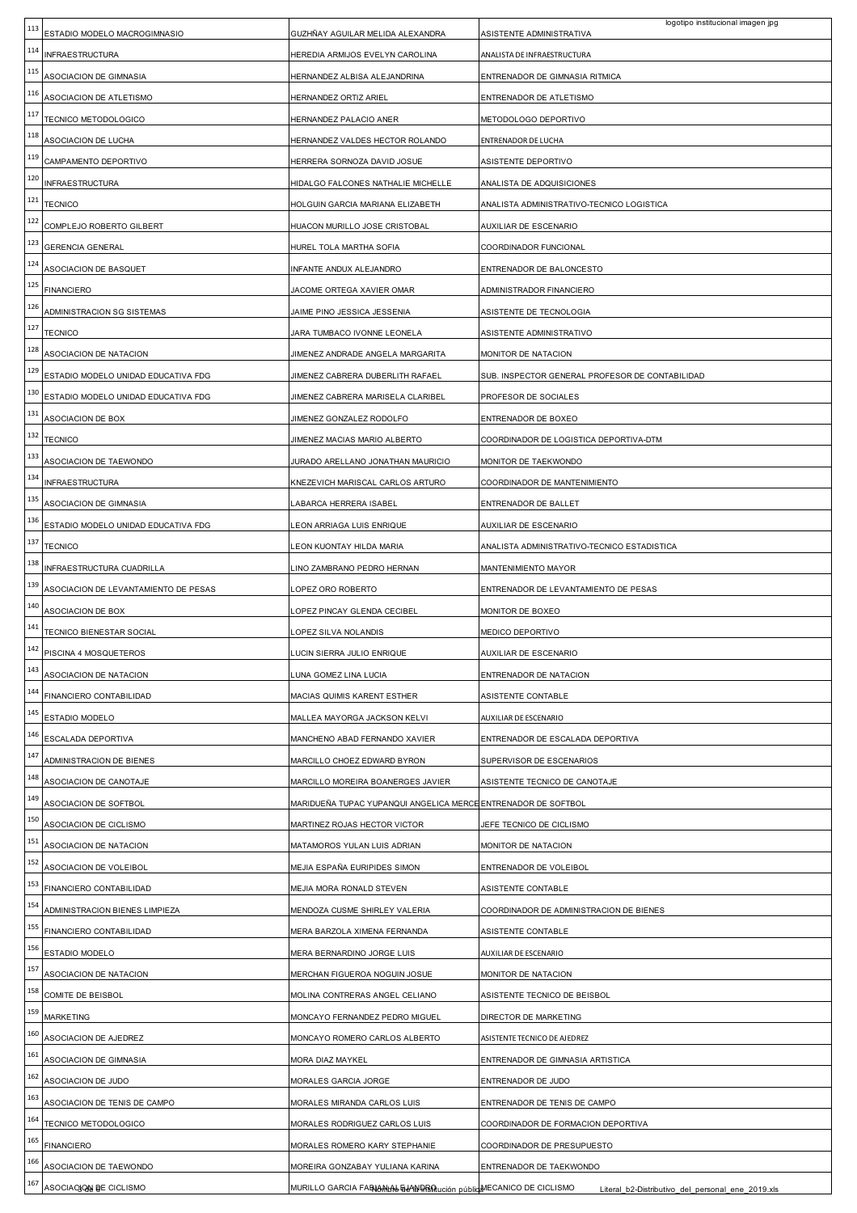| 113        | ESTADIO MODELO MACROGIMNASIO                      | GUZHÑAY AGUILAR MELIDA ALEXANDRA                                                                      | logotipo institucional imagen jpg<br>ASISTENTE ADMINISTRATIVA                |
|------------|---------------------------------------------------|-------------------------------------------------------------------------------------------------------|------------------------------------------------------------------------------|
| 114        | <b>INFRAESTRUCTURA</b>                            | HEREDIA ARMIJOS EVELYN CAROLINA                                                                       | ANALISTA DE INFRAESTRUCTURA                                                  |
| 115        | ASOCIACION DE GIMNASIA                            | HERNANDEZ ALBISA ALEJANDRINA                                                                          | ENTRENADOR DE GIMNASIA RITMICA                                               |
| 116        | ASOCIACION DE ATLETISMO                           | HERNANDEZ ORTIZ ARIEL                                                                                 | ENTRENADOR DE ATLETISMO                                                      |
| 117        | TECNICO METODOLOGICO                              | HERNANDEZ PALACIO ANER                                                                                | METODOLOGO DEPORTIVO                                                         |
| 118        | ASOCIACION DE LUCHA                               | HERNANDEZ VALDES HECTOR ROLANDO                                                                       | ENTRENADOR DE LUCHA                                                          |
| 119        | CAMPAMENTO DEPORTIVO                              | HERRERA SORNOZA DAVID JOSUE                                                                           | ASISTENTE DEPORTIVO                                                          |
| 120        | INFRAESTRUCTURA                                   | HIDALGO FALCONES NATHALIE MICHELLE                                                                    | ANALISTA DE ADQUISICIONES                                                    |
| 121        | <b>TECNICO</b>                                    | HOLGUIN GARCIA MARIANA ELIZABETH                                                                      | ANALISTA ADMINISTRATIVO-TECNICO LOGISTICA                                    |
| 122        | COMPLEJO ROBERTO GILBERT                          | HUACON MURILLO JOSE CRISTOBAL                                                                         | AUXILIAR DE ESCENARIO                                                        |
| 123        | <b>GERENCIA GENERAL</b>                           | HUREL TOLA MARTHA SOFIA                                                                               | COORDINADOR FUNCIONAL                                                        |
| 124        | ASOCIACION DE BASQUET                             | INFANTE ANDUX ALEJANDRO                                                                               | ENTRENADOR DE BALONCESTO                                                     |
| 125        | <b>FINANCIERO</b>                                 | JACOME ORTEGA XAVIER OMAR                                                                             | ADMINISTRADOR FINANCIERO                                                     |
| 126        | ADMINISTRACION SG SISTEMAS                        | JAIME PINO JESSICA JESSENIA                                                                           | ASISTENTE DE TECNOLOGIA                                                      |
| 127        | <b>TECNICO</b>                                    | JARA TUMBACO IVONNE LEONELA                                                                           | ASISTENTE ADMINISTRATIVO                                                     |
| 128        | ASOCIACION DE NATACION                            | JIMENEZ ANDRADE ANGELA MARGARITA                                                                      | MONITOR DE NATACION                                                          |
| 129        | ESTADIO MODELO UNIDAD EDUCATIVA FDG               | JIMENEZ CABRERA DUBERLITH RAFAEL                                                                      | SUB. INSPECTOR GENERAL PROFESOR DE CONTABILIDAD                              |
| 130        | ESTADIO MODELO UNIDAD EDUCATIVA FDG               | JIMENEZ CABRERA MARISELA CLARIBEL                                                                     | PROFESOR DE SOCIALES                                                         |
| 131        | ASOCIACION DE BOX                                 | JIMENEZ GONZALEZ RODOLFO                                                                              | ENTRENADOR DE BOXEO                                                          |
| 132        | <b>TECNICO</b>                                    | JIMENEZ MACIAS MARIO ALBERTO                                                                          | COORDINADOR DE LOGISTICA DEPORTIVA-DTM                                       |
| 133        | ASOCIACION DE TAEWONDO                            | JURADO ARELLANO JONATHAN MAURICIO                                                                     | MONITOR DE TAEKWONDO                                                         |
| 134        | INFRAESTRUCTURA                                   | KNEZEVICH MARISCAL CARLOS ARTURO                                                                      | COORDINADOR DE MANTENIMIENTO                                                 |
| 135        | ASOCIACION DE GIMNASIA                            | LABARCA HERRERA ISABEL                                                                                | ENTRENADOR DE BALLET                                                         |
| 136        | ESTADIO MODELO UNIDAD EDUCATIVA FDG               | EON ARRIAGA LUIS ENRIQUE                                                                              | AUXILIAR DE ESCENARIO                                                        |
| 137        | TECNICO                                           | EON KUONTAY HILDA MARIA.                                                                              | ANALISTA ADMINISTRATIVO-TECNICO ESTADISTICA                                  |
| 138        | INFRAESTRUCTURA CUADRILLA                         | INO ZAMBRANO PEDRO HERNAN                                                                             | MANTENIMIENTO MAYOR                                                          |
| 139        | ASOCIACION DE LEVANTAMIENTO DE PESAS              | OPEZ ORO ROBERTO                                                                                      | ENTRENADOR DE LEVANTAMIENTO DE PESAS                                         |
|            |                                                   |                                                                                                       |                                                                              |
| 140        | ASOCIACION DE BOX                                 | OPEZ PINCAY GLENDA CECIBEL                                                                            | MONITOR DE BOXEO                                                             |
| 141        | TECNICO BIENESTAR SOCIAL                          | OPEZ SILVA NOLANDIS                                                                                   | MEDICO DEPORTIVO                                                             |
| 142        | PISCINA 4 MOSQUETEROS                             | LUCIN SIERRA JULIO ENRIQUE                                                                            | AUXILIAR DE ESCENARIO                                                        |
| 143        | ASOCIACION DE NATACION                            | UNA GOMEZ LINA LUCIA                                                                                  | ENTRENADOR DE NATACION                                                       |
| 144        | FINANCIERO CONTABILIDAD                           | MACIAS QUIMIS KARENT ESTHER                                                                           | ASISTENTE CONTABLE                                                           |
| 145        | ESTADIO MODELO                                    | MALLEA MAYORGA JACKSON KELVI                                                                          | AUXILIAR DE ESCENARIO                                                        |
| 146        | ESCALADA DEPORTIVA                                | MANCHENO ABAD FERNANDO XAVIER                                                                         | ENTRENADOR DE ESCALADA DEPORTIVA                                             |
| 147        | ADMINISTRACION DE BIENES                          | MARCILLO CHOEZ EDWARD BYRON                                                                           | SUPERVISOR DE ESCENARIOS                                                     |
| 148        | ASOCIACION DE CANOTAJE                            | MARCILLO MOREIRA BOANERGES JAVIER                                                                     | ASISTENTE TECNICO DE CANOTAJE                                                |
| 149        | ASOCIACION DE SOFTBOL                             | MARIDUEÑA TUPAC YUPANQUI ANGELICA MERCE ENTRENADOR DE SOFTBOL                                         |                                                                              |
| 150        | ASOCIACION DE CICLISMO                            | MARTINEZ ROJAS HECTOR VICTOR                                                                          | JEFE TECNICO DE CICLISMO                                                     |
| 151        | ASOCIACION DE NATACION                            | MATAMOROS YULAN LUIS ADRIAN                                                                           | MONITOR DE NATACION                                                          |
| 152        | ASOCIACION DE VOLEIBOL                            | MEJIA ESPAÑA EURIPIDES SIMON                                                                          | ENTRENADOR DE VOLEIBOL                                                       |
| 153        | FINANCIERO CONTABILIDAD                           | MEJIA MORA RONALD STEVEN                                                                              | ASISTENTE CONTABLE                                                           |
| 154        | ADMINISTRACION BIENES LIMPIEZA                    | MENDOZA CUSME SHIRLEY VALERIA                                                                         | COORDINADOR DE ADMINISTRACION DE BIENES                                      |
| 155        | FINANCIERO CONTABILIDAD                           | MERA BARZOLA XIMENA FERNANDA                                                                          | ASISTENTE CONTABLE                                                           |
| 156        | ESTADIO MODELO                                    | MERA BERNARDINO JORGE LUIS                                                                            | AUXILIAR DE ESCENARIO                                                        |
| 157        | ASOCIACION DE NATACION                            | MERCHAN FIGUEROA NOGUIN JOSUE                                                                         | MONITOR DE NATACION                                                          |
| 158        | COMITE DE BEISBOL                                 | MOLINA CONTRERAS ANGEL CELIANO                                                                        | ASISTENTE TECNICO DE BEISBOL                                                 |
| 159        | <b>MARKETING</b>                                  | MONCAYO FERNANDEZ PEDRO MIGUEL                                                                        | DIRECTOR DE MARKETING                                                        |
| 160        | ASOCIACION DE AJEDREZ                             | MONCAYO ROMERO CARLOS ALBERTO                                                                         | ASISTENTE TECNICO DE AJEDREZ                                                 |
| 161        | ASOCIACION DE GIMNASIA                            | MORA DIAZ MAYKEL                                                                                      | ENTRENADOR DE GIMNASIA ARTISTICA                                             |
| 162        | ASOCIACION DE JUDO                                | MORALES GARCIA JORGE                                                                                  | ENTRENADOR DE JUDO                                                           |
| 163        | ASOCIACION DE TENIS DE CAMPO                      | MORALES MIRANDA CARLOS LUIS                                                                           | ENTRENADOR DE TENIS DE CAMPO                                                 |
| 164        | TECNICO METODOLOGICO                              | MORALES RODRIGUEZ CARLOS LUIS                                                                         | COORDINADOR DE FORMACION DEPORTIVA                                           |
| 165        | <b>FINANCIERO</b>                                 | MORALES ROMERO KARY STEPHANIE                                                                         | COORDINADOR DE PRESUPUESTO                                                   |
| 166<br>167 | ASOCIACION DE TAEWONDO<br>ASOCIAC GON BE CICLISMO | MOREIRA GONZABAY YULIANA KARINA<br>MURILLO GARCIA FARIANIAL ELANTERIUCIÓN públicAMECANICO DE CICLISMO | ENTRENADOR DE TAEKWONDO<br>Literal b2-Distributivo del personal ene 2019.xls |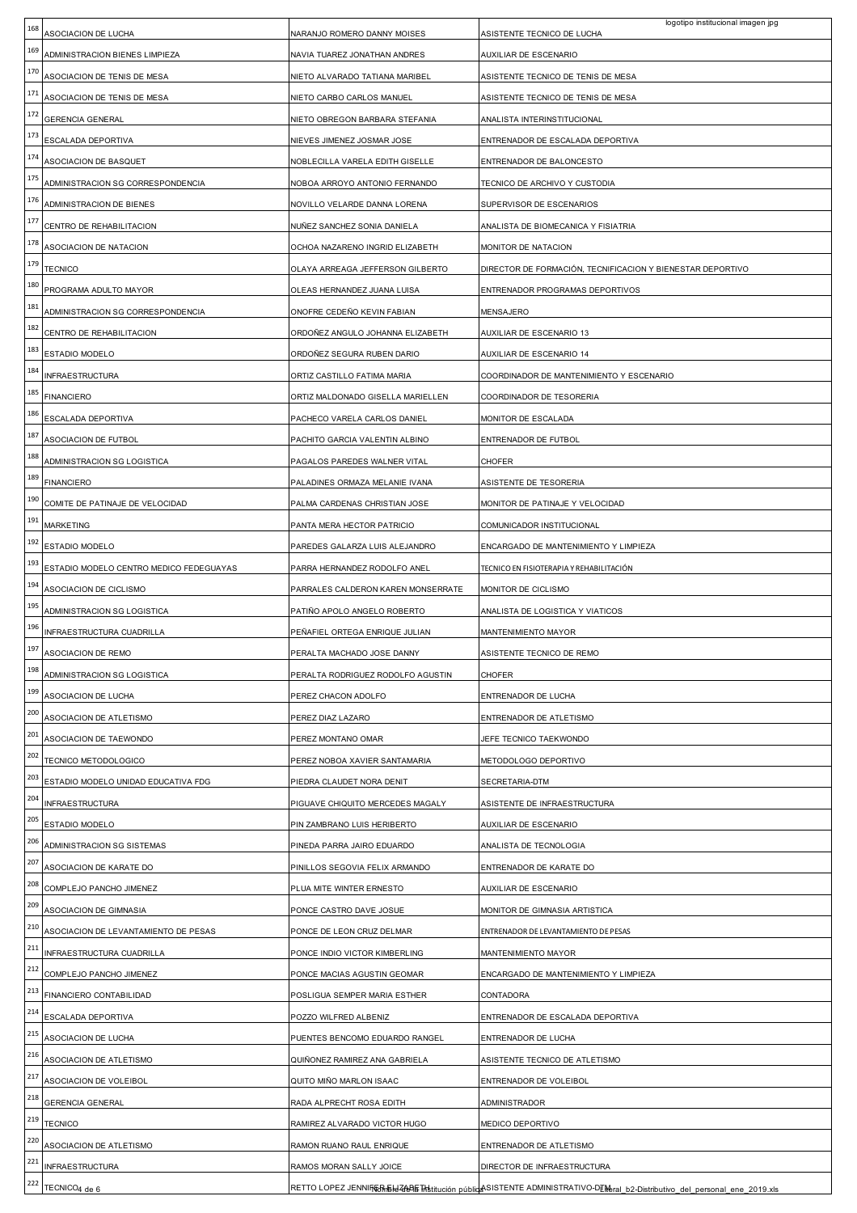| 168 | ASOCIACION DE LUCHA                     | NARANJO ROMERO DANNY MOISES        | logotipo institucional imagen jpg<br>ASISTENTE TECNICO DE LUCHA |
|-----|-----------------------------------------|------------------------------------|-----------------------------------------------------------------|
| 169 | ADMINISTRACION BIENES LIMPIEZA          | NAVIA TUAREZ JONATHAN ANDRES       | AUXILIAR DE ESCENARIO                                           |
| 170 | ASOCIACION DE TENIS DE MESA             | NIETO ALVARADO TATIANA MARIBEL     | ASISTENTE TECNICO DE TENIS DE MESA                              |
| 171 | ASOCIACION DE TENIS DE MESA             | NIETO CARBO CARLOS MANUEL          | ASISTENTE TECNICO DE TENIS DE MESA                              |
| 172 | GERENCIA GENERAL                        | NIETO OBREGON BARBARA STEFANIA     | ANALISTA INTERINSTITUCIONAL                                     |
| 173 | ESCALADA DEPORTIVA                      | NIEVES JIMENEZ JOSMAR JOSE         | ENTRENADOR DE ESCALADA DEPORTIVA                                |
| 174 | ASOCIACION DE BASQUET                   | NOBLECILLA VARELA EDITH GISELLE    | ENTRENADOR DE BALONCESTO                                        |
| 175 | ADMINISTRACION SG CORRESPONDENCIA       | NOBOA ARROYO ANTONIO FERNANDO      | TECNICO DE ARCHIVO Y CUSTODIA                                   |
| 176 | ADMINISTRACION DE BIENES                | NOVILLO VELARDE DANNA LORENA       | SUPERVISOR DE ESCENARIOS                                        |
| 177 | CENTRO DE REHABILITACION                | NUÑEZ SANCHEZ SONIA DANIELA        | ANALISTA DE BIOMECANICA Y FISIATRIA                             |
| 178 | ASOCIACION DE NATACION                  | OCHOA NAZARENO INGRID ELIZABETH    | MONITOR DE NATACION                                             |
| 179 | <b>TECNICO</b>                          | OLAYA ARREAGA JEFFERSON GILBERTO   | DIRECTOR DE FORMACIÓN, TECNIFICACION Y BIENESTAR DEPORTIVO      |
| 180 | PROGRAMA ADULTO MAYOR                   | OLEAS HERNANDEZ JUANA LUISA        | ENTRENADOR PROGRAMAS DEPORTIVOS                                 |
| 181 | ADMINISTRACION SG CORRESPONDENCIA       | ONOFRE CEDEÑO KEVIN FABIAN         | MENSAJERO                                                       |
| 182 | CENTRO DE REHABILITACION                | ORDOÑEZ ANGULO JOHANNA ELIZABETH   | AUXILIAR DE ESCENARIO 13                                        |
| 183 | ESTADIO MODELO                          | ORDOÑEZ SEGURA RUBEN DARIO         | AUXILIAR DE ESCENARIO 14                                        |
| 184 | INFRAESTRUCTURA                         | ORTIZ CASTILLO FATIMA MARIA        | COORDINADOR DE MANTENIMIENTO Y ESCENARIO                        |
| 185 | <b>FINANCIERO</b>                       | ORTIZ MALDONADO GISELLA MARIELLEN  | COORDINADOR DE TESORERIA                                        |
| 186 | ESCALADA DEPORTIVA                      | PACHECO VARELA CARLOS DANIEL       | MONITOR DE ESCALADA                                             |
| 187 | ASOCIACION DE FUTBOL                    | PACHITO GARCIA VALENTIN ALBINO     | ENTRENADOR DE FUTBOL                                            |
| 188 | ADMINISTRACION SG LOGISTICA             | PAGALOS PAREDES WALNER VITAL       | CHOFER                                                          |
| 189 | <b>FINANCIERO</b>                       | PALADINES ORMAZA MELANIE IVANA     | ASISTENTE DE TESORERIA                                          |
| 190 | COMITE DE PATINAJE DE VELOCIDAD         | PALMA CARDENAS CHRISTIAN JOSE      | MONITOR DE PATINAJE Y VELOCIDAD                                 |
| 191 | <b>MARKETING</b>                        | PANTA MERA HECTOR PATRICIO         | COMUNICADOR INSTITUCIONAL                                       |
| 192 | ESTADIO MODELO                          | PAREDES GALARZA LUIS ALEJANDRO     | ENCARGADO DE MANTENIMIENTO Y LIMPIEZA                           |
| 193 | ESTADIO MODELO CENTRO MEDICO FEDEGUAYAS | PARRA HERNANDEZ RODOLFO ANEL       | TECNICO EN FISIOTERAPIA Y REHABILITACIÓN                        |
| 194 | ASOCIACION DE CICLISMO                  | PARRALES CALDERON KAREN MONSERRATE | MONITOR DE CICLISMO                                             |
| 195 |                                         |                                    |                                                                 |
|     | ADMINISTRACION SG LOGISTICA             | PATIÑO APOLO ANGELO ROBERTO        | ANALISTA DE LOGISTICA Y VIATICOS                                |
| 196 | NFRAESTRUCTURA CUADRILLA                | PEÑAFIEL ORTEGA ENRIQUE JULIAN     | MANTENIMIENTO MAYOR                                             |
| 197 | ASOCIACION DE REMO                      | PERALTA MACHADO JOSE DANNY         | ASISTENTE TECNICO DE REMO                                       |
| 198 | ADMINISTRACION SG LOGISTICA             | PERALTA RODRIGUEZ RODOLFO AGUSTIN  | <b>CHOFER</b>                                                   |
| 199 | ASOCIACION DE LUCHA                     | PEREZ CHACON ADOLFO                | ENTRENADOR DE LUCHA                                             |
| 200 | ASOCIACION DE ATLETISMO                 | PEREZ DIAZ LAZARO                  | ENTRENADOR DE ATLETISMO                                         |
| 201 | ASOCIACION DE TAEWONDO                  | PEREZ MONTANO OMAR                 | JEFE TECNICO TAEKWONDO                                          |
| 202 | TECNICO METODOLOGICO                    | PEREZ NOBOA XAVIER SANTAMARIA      | METODOLOGO DEPORTIVO                                            |
| 203 | ESTADIO MODELO UNIDAD EDUCATIVA FDG     | PIEDRA CLAUDET NORA DENIT          | SECRETARIA-DTM                                                  |
| 204 | <b>INFRAESTRUCTURA</b>                  | PIGUAVE CHIQUITO MERCEDES MAGALY   | ASISTENTE DE INFRAESTRUCTURA                                    |
| 205 | ESTADIO MODELO                          | PIN ZAMBRANO LUIS HERIBERTO        | AUXILIAR DE ESCENARIO                                           |
| 206 | ADMINISTRACION SG SISTEMAS              | PINEDA PARRA JAIRO EDUARDO         | ANALISTA DE TECNOLOGIA                                          |
| 207 | ASOCIACION DE KARATE DO                 | PINILLOS SEGOVIA FELIX ARMANDO     | ENTRENADOR DE KARATE DO                                         |
| 208 | COMPLEJO PANCHO JIMENEZ                 | PLUA MITE WINTER ERNESTO           | AUXILIAR DE ESCENARIO                                           |
| 209 | ASOCIACION DE GIMNASIA                  | PONCE CASTRO DAVE JOSUE            | MONITOR DE GIMNASIA ARTISTICA                                   |
| 210 | ASOCIACION DE LEVANTAMIENTO DE PESAS    | PONCE DE LEON CRUZ DELMAR          | ENTRENADOR DE LEVANTAMIENTO DE PESAS                            |
| 211 | INFRAESTRUCTURA CUADRILLA               | PONCE INDIO VICTOR KIMBERLING      | MANTENIMIENTO MAYOR                                             |
| 212 | COMPLEJO PANCHO JIMENEZ                 | PONCE MACIAS AGUSTIN GEOMAR        | ENCARGADO DE MANTENIMIENTO Y LIMPIEZA                           |
| 213 | FINANCIERO CONTABILIDAD                 | POSLIGUA SEMPER MARIA ESTHER       | CONTADORA                                                       |
| 214 | ESCALADA DEPORTIVA                      | POZZO WILFRED ALBENIZ              | ENTRENADOR DE ESCALADA DEPORTIVA                                |
| 215 | ASOCIACION DE LUCHA                     | PUENTES BENCOMO EDUARDO RANGEL     | ENTRENADOR DE LUCHA                                             |
| 216 | ASOCIACION DE ATLETISMO                 | QUIÑONEZ RAMIREZ ANA GABRIELA      | ASISTENTE TECNICO DE ATLETISMO                                  |
| 217 | ASOCIACION DE VOLEIBOL                  | QUITO MIÑO MARLON ISAAC            | ENTRENADOR DE VOLEIBOL                                          |
| 218 | <b>GERENCIA GENERAL</b>                 | RADA ALPRECHT ROSA EDITH           | ADMINISTRADOR                                                   |
| 219 | <b>TECNICO</b>                          | RAMIREZ ALVARADO VICTOR HUGO       | MEDICO DEPORTIVO                                                |
| 220 | ASOCIACION DE ATLETISMO                 | RAMON RUANO RAUL ENRIQUE           | ENTRENADOR DE ATLETISMO                                         |
| 221 | <b>INFRAESTRUCTURA</b>                  | RAMOS MORAN SALLY JOICE            | DIRECTOR DE INFRAESTRUCTURA                                     |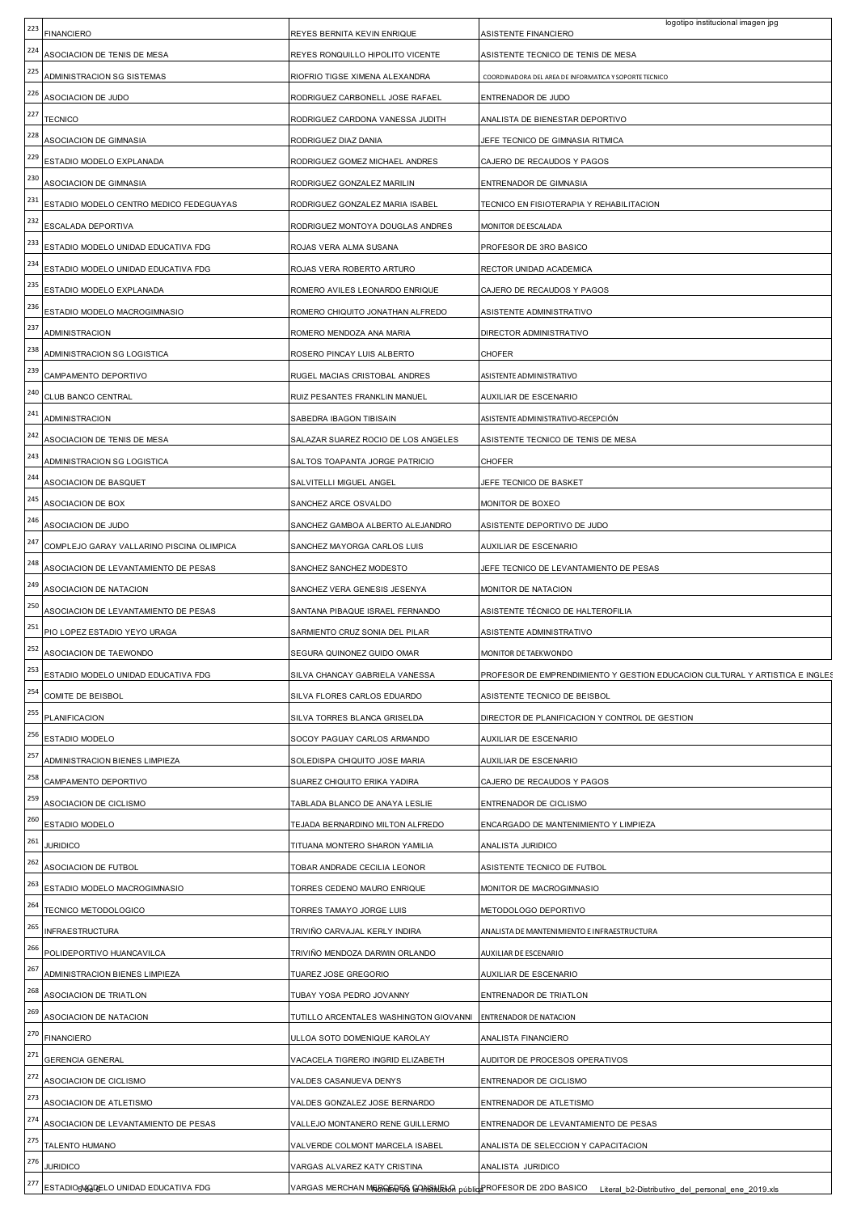| 223        | <b>FINANCIERO</b>                                      | REYES BERNITA KEVIN ENRIQUE                                 | logotipo institucional imagen jpg<br>ASISTENTE FINANCIERO                                                        |
|------------|--------------------------------------------------------|-------------------------------------------------------------|------------------------------------------------------------------------------------------------------------------|
| 224        | ASOCIACION DE TENIS DE MESA                            | REYES RONQUILLO HIPOLITO VICENTE                            | ASISTENTE TECNICO DE TENIS DE MESA                                                                               |
| 225        | ADMINISTRACION SG SISTEMAS                             | RIOFRIO TIGSE XIMENA ALEXANDRA                              | COORDINADORA DEL AREA DE INFORMATICA Y SOPORTE TECNICO                                                           |
| 226        | ASOCIACION DE JUDO                                     | RODRIGUEZ CARBONELL JOSE RAFAEL                             | ENTRENADOR DE JUDO                                                                                               |
| 227        | <b>TECNICO</b>                                         | RODRIGUEZ CARDONA VANESSA JUDITH                            | ANALISTA DE BIENESTAR DEPORTIVO                                                                                  |
| 228        | ASOCIACION DE GIMNASIA                                 | RODRIGUEZ DIAZ DANIA                                        | JEFE TECNICO DE GIMNASIA RITMICA                                                                                 |
| 229        | ESTADIO MODELO EXPLANADA                               | RODRIGUEZ GOMEZ MICHAEL ANDRES                              | CAJERO DE RECAUDOS Y PAGOS                                                                                       |
| 230        | ASOCIACION DE GIMNASIA                                 | RODRIGUEZ GONZALEZ MARILIN                                  | ENTRENADOR DE GIMNASIA                                                                                           |
| 231        | ESTADIO MODELO CENTRO MEDICO FEDEGUAYAS                | RODRIGUEZ GONZALEZ MARIA ISABEL                             | TECNICO EN FISIOTERAPIA Y REHABILITACION                                                                         |
| 232        | ESCALADA DEPORTIVA                                     | RODRIGUEZ MONTOYA DOUGLAS ANDRES                            | MONITOR DE ESCALADA                                                                                              |
| 233        | ESTADIO MODELO UNIDAD EDUCATIVA FDG                    | ROJAS VERA ALMA SUSANA                                      | PROFESOR DE 3RO BASICO                                                                                           |
| 234        | ESTADIO MODELO UNIDAD EDUCATIVA FDG                    | ROJAS VERA ROBERTO ARTURO                                   | RECTOR UNIDAD ACADEMICA                                                                                          |
| 235        | ESTADIO MODELO EXPLANADA                               | ROMERO AVILES LEONARDO ENRIQUE                              | CAJERO DE RECAUDOS Y PAGOS                                                                                       |
| 236        | ESTADIO MODELO MACROGIMNASIO                           | ROMERO CHIQUITO JONATHAN ALFREDO                            | ASISTENTE ADMINISTRATIVO                                                                                         |
| 237        | <b>ADMINISTRACION</b>                                  | ROMERO MENDOZA ANA MARIA                                    | DIRECTOR ADMINISTRATIVO                                                                                          |
| 238        | ADMINISTRACION SG LOGISTICA                            | ROSERO PINCAY LUIS ALBERTO                                  | <b>CHOFER</b>                                                                                                    |
| 239        | CAMPAMENTO DEPORTIVO                                   | RUGEL MACIAS CRISTOBAL ANDRES                               | ASISTENTE ADMINISTRATIVO                                                                                         |
| 240        | CLUB BANCO CENTRAL                                     | RUIZ PESANTES FRANKLIN MANUEL                               | AUXILIAR DE ESCENARIO                                                                                            |
| 241        | <b>ADMINISTRACION</b>                                  | SABEDRA IBAGON TIBISAIN                                     | ASISTENTE ADMINISTRATIVO-RECEPCIÓN                                                                               |
| 242        | ASOCIACION DE TENIS DE MESA                            | SALAZAR SUAREZ ROCIO DE LOS ANGELES                         | ASISTENTE TECNICO DE TENIS DE MESA                                                                               |
| 243        | ADMINISTRACION SG LOGISTICA                            | SALTOS TOAPANTA JORGE PATRICIO                              | CHOFER                                                                                                           |
| 244        | ASOCIACION DE BASQUET                                  | SALVITELLI MIGUEL ANGEL                                     | JEFE TECNICO DE BASKET                                                                                           |
| 245        | ASOCIACION DE BOX                                      | SANCHEZ ARCE OSVALDO                                        | MONITOR DE BOXEO                                                                                                 |
| 246        | ASOCIACION DE JUDO                                     | SANCHEZ GAMBOA ALBERTO ALEJANDRO                            | ASISTENTE DEPORTIVO DE JUDO                                                                                      |
| 247        | COMPLEJO GARAY VALLARINO PISCINA OLIMPICA              | SANCHEZ MAYORGA CARLOS LUIS                                 | AUXILIAR DE ESCENARIO                                                                                            |
| 248        | ASOCIACION DE LEVANTAMIENTO DE PESAS                   | SANCHEZ SANCHEZ MODESTO                                     | JEFE TECNICO DE LEVANTAMIENTO DE PESAS                                                                           |
| 249        | ASOCIACION DE NATACION                                 | SANCHEZ VERA GENESIS JESENYA                                | MONITOR DE NATACION                                                                                              |
| 250<br>251 | ASOCIACION DE LEVANTAMIENTO DE PESAS                   | SANTANA PIBAQUE ISRAEL FERNANDO                             | ASISTENTE TÉCNICO DE HALTEROFILIA                                                                                |
| 252        | PIO LOPEZ ESTADIO YEYO URAGA                           | SARMIENTO CRUZ SONIA DEL PILAR                              | ASISTENTE ADMINISTRATIVO                                                                                         |
| 253        | ASOCIACION DE TAEWONDO                                 | SEGURA QUINONEZ GUIDO OMAR                                  | MONITOR DE TAEKWONDO                                                                                             |
| 254        | ESTADIO MODELO UNIDAD EDUCATIVA FDG                    | SILVA CHANCAY GABRIELA VANESSA                              | PROFESOR DE EMPRENDIMIENTO Y GESTION EDUCACION CULTURAL Y ARTISTICA E INGLES                                     |
| 255        | COMITE DE BEISBOL                                      | SILVA FLORES CARLOS EDUARDO                                 | ASISTENTE TECNICO DE BEISBOL                                                                                     |
| 256        | PLANIFICACION<br>ESTADIO MODELO                        | SILVA TORRES BLANCA GRISELDA<br>SOCOY PAGUAY CARLOS ARMANDO | DIRECTOR DE PLANIFICACION Y CONTROL DE GESTION                                                                   |
| 257        |                                                        | SOLEDISPA CHIQUITO JOSE MARIA                               | AUXILIAR DE ESCENARIO                                                                                            |
| 258        | ADMINISTRACION BIENES LIMPIEZA<br>CAMPAMENTO DEPORTIVO | SUAREZ CHIQUITO ERIKA YADIRA                                | AUXILIAR DE ESCENARIO<br>CAJERO DE RECAUDOS Y PAGOS                                                              |
| 259        | ASOCIACION DE CICLISMO                                 | TABLADA BLANCO DE ANAYA LESLIE                              | ENTRENADOR DE CICLISMO                                                                                           |
| 260        | ESTADIO MODELO                                         | TEJADA BERNARDINO MILTON ALFREDO                            | ENCARGADO DE MANTENIMIENTO Y LIMPIEZA                                                                            |
| 261        | <b>JURIDICO</b>                                        | TITUANA MONTERO SHARON YAMILIA                              | ANALISTA JURIDICO                                                                                                |
| 262        | ASOCIACION DE FUTBOL                                   | TOBAR ANDRADE CECILIA LEONOR                                | ASISTENTE TECNICO DE FUTBOL                                                                                      |
| 263        | ESTADIO MODELO MACROGIMNASIO                           | TORRES CEDENO MAURO ENRIQUE                                 | MONITOR DE MACROGIMNASIO                                                                                         |
| 264        | TECNICO METODOLOGICO                                   | TORRES TAMAYO JORGE LUIS                                    | METODOLOGO DEPORTIVO                                                                                             |
| 265        | INFRAESTRUCTURA                                        | TRIVIÑO CARVAJAL KERLY INDIRA                               | ANALISTA DE MANTENIMIENTO E INFRAESTRUCTURA                                                                      |
| 266        | POLIDEPORTIVO HUANCAVILCA                              | TRIVIÑO MENDOZA DARWIN ORLANDO                              | AUXILIAR DE ESCENARIO                                                                                            |
| 267        | ADMINISTRACION BIENES LIMPIEZA                         | TUAREZ JOSE GREGORIO                                        | AUXILIAR DE ESCENARIO                                                                                            |
| 268        | ASOCIACION DE TRIATLON                                 | TUBAY YOSA PEDRO JOVANNY                                    | ENTRENADOR DE TRIATLON                                                                                           |
| 269        | ASOCIACION DE NATACION                                 | TUTILLO ARCENTALES WASHINGTON GIOVANNI                      | <b>ENTRENADOR DE NATACION</b>                                                                                    |
| 270        | <b>FINANCIERO</b>                                      | ULLOA SOTO DOMENIQUE KAROLAY                                | ANALISTA FINANCIERO                                                                                              |
| 271        | <b>GERENCIA GENERAL</b>                                | VACACELA TIGRERO INGRID ELIZABETH                           | AUDITOR DE PROCESOS OPERATIVOS                                                                                   |
| 272        | ASOCIACION DE CICLISMO                                 | VALDES CASANUEVA DENYS                                      | ENTRENADOR DE CICLISMO                                                                                           |
| 273        | ASOCIACION DE ATLETISMO                                | VALDES GONZALEZ JOSE BERNARDO                               | ENTRENADOR DE ATLETISMO                                                                                          |
| 274        | ASOCIACION DE LEVANTAMIENTO DE PESAS                   | VALLEJO MONTANERO RENE GUILLERMO                            | ENTRENADOR DE LEVANTAMIENTO DE PESAS                                                                             |
| 275        | TALENTO HUMANO                                         | VALVERDE COLMONT MARCELA ISABEL                             | ANALISTA DE SELECCION Y CAPACITACION                                                                             |
| 276        | <b>JURIDICO</b>                                        | VARGAS ALVAREZ KATY CRISTINA                                | ANALISTA JURIDICO                                                                                                |
| 277        | ESTADIO5M@DELO UNIDAD EDUCATIVA FDG                    |                                                             | VARGAS MERCHAN MERGERES GONSNIELS QUBILE ROFESOR DE 2DO BASICO Literal b2-Distributivo del personal ene 2019.xls |